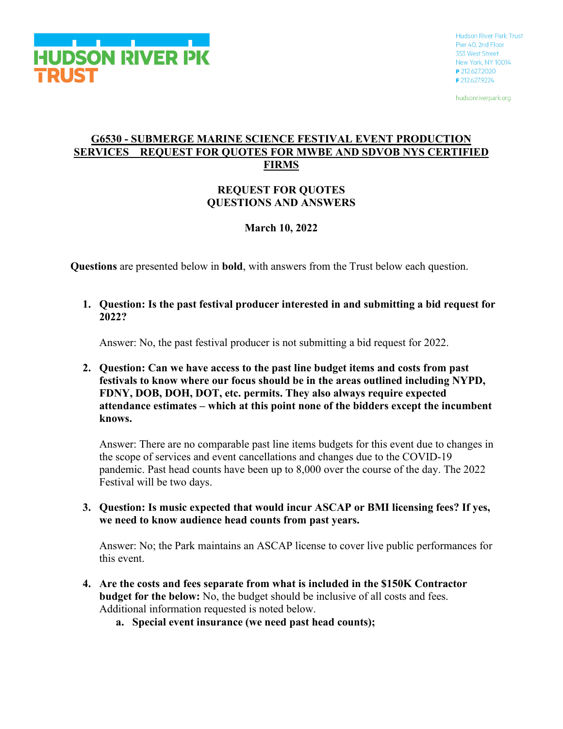

hudsonriverpark.org

## **G6530 - SUBMERGE MARINE SCIENCE FESTIVAL EVENT PRODUCTION SERVICES REQUEST FOR QUOTES FOR MWBE AND SDVOB NYS CERTIFIED FIRMS**

### **REQUEST FOR QUOTES QUESTIONS AND ANSWERS**

# **March 10, 2022**

**Questions** are presented below in **bold**, with answers from the Trust below each question.

**1. Question: Is the past festival producer interested in and submitting a bid request for 2022?**

Answer: No, the past festival producer is not submitting a bid request for 2022.

**2. Question: Can we have access to the past line budget items and costs from past festivals to know where our focus should be in the areas outlined including NYPD, FDNY, DOB, DOH, DOT, etc. permits. They also always require expected attendance estimates – which at this point none of the bidders except the incumbent knows.**

Answer: There are no comparable past line items budgets for this event due to changes in the scope of services and event cancellations and changes due to the COVID-19 pandemic. Past head counts have been up to 8,000 over the course of the day. The 2022 Festival will be two days.

**3. Question: Is music expected that would incur ASCAP or BMI licensing fees? If yes, we need to know audience head counts from past years.**

Answer: No; the Park maintains an ASCAP license to cover live public performances for this event.

- **4. Are the costs and fees separate from what is included in the \$150K Contractor budget for the below:** No, the budget should be inclusive of all costs and fees. Additional information requested is noted below.
	- **a. Special event insurance (we need past head counts);**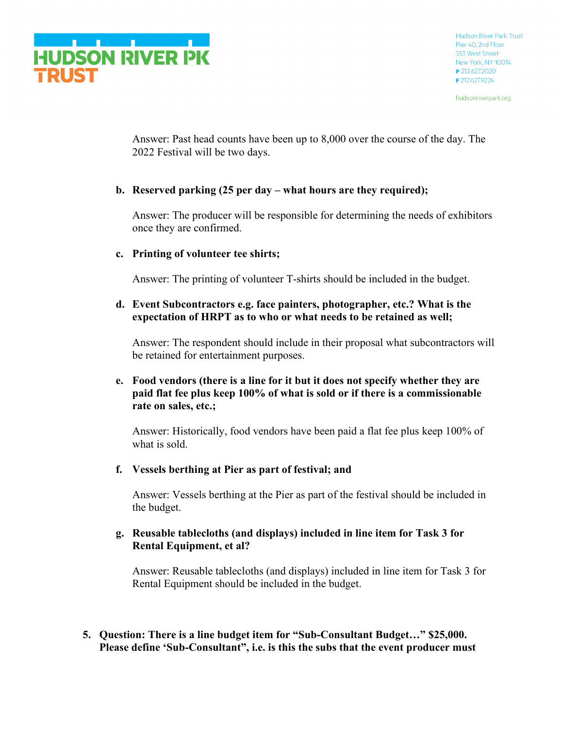

hudsonriverpark.org

Answer: Past head counts have been up to 8,000 over the course of the day. The 2022 Festival will be two days.

# **b. Reserved parking (25 per day – what hours are they required);**

Answer: The producer will be responsible for determining the needs of exhibitors once they are confirmed.

# **c. Printing of volunteer tee shirts;**

Answer: The printing of volunteer T-shirts should be included in the budget.

### **d. Event Subcontractors e.g. face painters, photographer, etc.? What is the expectation of HRPT as to who or what needs to be retained as well;**

Answer: The respondent should include in their proposal what subcontractors will be retained for entertainment purposes.

# **e. Food vendors (there is a line for it but it does not specify whether they are paid flat fee plus keep 100% of what is sold or if there is a commissionable rate on sales, etc.;**

Answer: Historically, food vendors have been paid a flat fee plus keep 100% of what is sold.

**f. Vessels berthing at Pier as part of festival; and**

Answer: Vessels berthing at the Pier as part of the festival should be included in the budget.

# **g. Reusable tablecloths (and displays) included in line item for Task 3 for Rental Equipment, et al?**

Answer: Reusable tablecloths (and displays) included in line item for Task 3 for Rental Equipment should be included in the budget.

**5. Question: There is a line budget item for "Sub-Consultant Budget…" \$25,000. Please define 'Sub-Consultant", i.e. is this the subs that the event producer must**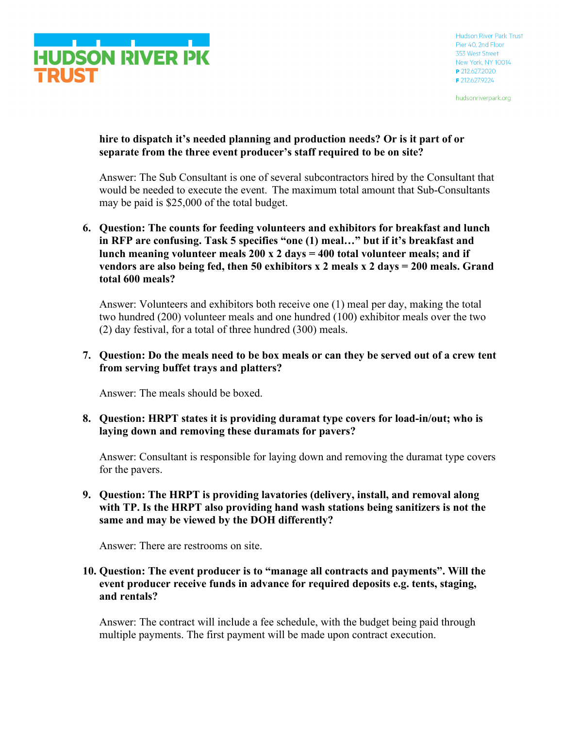

hudsonriverpark.org

# **hire to dispatch it's needed planning and production needs? Or is it part of or separate from the three event producer's staff required to be on site?**

Answer: The Sub Consultant is one of several subcontractors hired by the Consultant that would be needed to execute the event. The maximum total amount that Sub-Consultants may be paid is \$25,000 of the total budget.

**6. Question: The counts for feeding volunteers and exhibitors for breakfast and lunch in RFP are confusing. Task 5 specifies "one (1) meal…" but if it's breakfast and lunch meaning volunteer meals 200 x 2 days = 400 total volunteer meals; and if vendors are also being fed, then 50 exhibitors x 2 meals x 2 days = 200 meals. Grand total 600 meals?**

Answer: Volunteers and exhibitors both receive one (1) meal per day, making the total two hundred (200) volunteer meals and one hundred (100) exhibitor meals over the two (2) day festival, for a total of three hundred (300) meals.

### **7. Question: Do the meals need to be box meals or can they be served out of a crew tent from serving buffet trays and platters?**

Answer: The meals should be boxed.

### **8. Question: HRPT states it is providing duramat type covers for load-in/out; who is laying down and removing these duramats for pavers?**

Answer: Consultant is responsible for laying down and removing the duramat type covers for the pavers.

### **9. Question: The HRPT is providing lavatories (delivery, install, and removal along with TP. Is the HRPT also providing hand wash stations being sanitizers is not the same and may be viewed by the DOH differently?**

Answer: There are restrooms on site.

### **10. Question: The event producer is to "manage all contracts and payments". Will the event producer receive funds in advance for required deposits e.g. tents, staging, and rentals?**

Answer: The contract will include a fee schedule, with the budget being paid through multiple payments. The first payment will be made upon contract execution.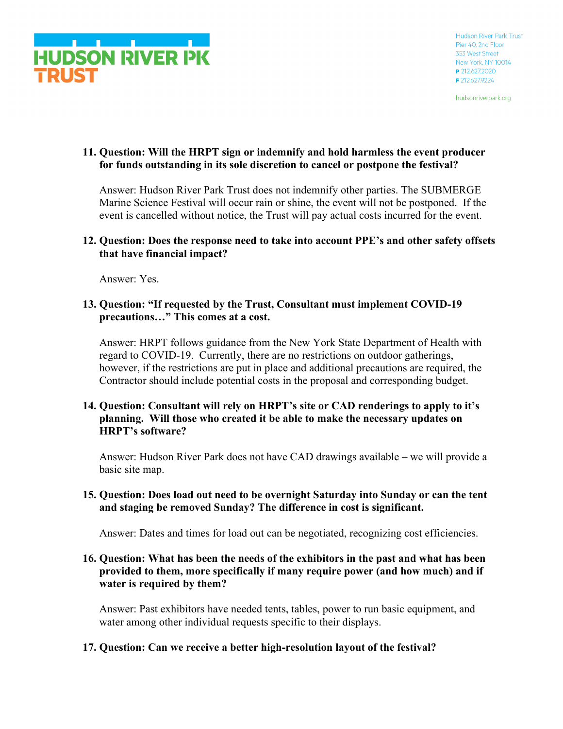

hudsonriverpark.org

# **11. Question: Will the HRPT sign or indemnify and hold harmless the event producer for funds outstanding in its sole discretion to cancel or postpone the festival?**

Answer: Hudson River Park Trust does not indemnify other parties. The SUBMERGE Marine Science Festival will occur rain or shine, the event will not be postponed. If the event is cancelled without notice, the Trust will pay actual costs incurred for the event.

### **12. Question: Does the response need to take into account PPE's and other safety offsets that have financial impact?**

Answer: Yes.

### **13. Question: "If requested by the Trust, Consultant must implement COVID-19 precautions…" This comes at a cost.**

Answer: HRPT follows guidance from the New York State Department of Health with regard to COVID-19. Currently, there are no restrictions on outdoor gatherings, however, if the restrictions are put in place and additional precautions are required, the Contractor should include potential costs in the proposal and corresponding budget.

### **14. Question: Consultant will rely on HRPT's site or CAD renderings to apply to it's planning. Will those who created it be able to make the necessary updates on HRPT's software?**

Answer: Hudson River Park does not have CAD drawings available – we will provide a basic site map.

### **15. Question: Does load out need to be overnight Saturday into Sunday or can the tent and staging be removed Sunday? The difference in cost is significant.**

Answer: Dates and times for load out can be negotiated, recognizing cost efficiencies.

### **16. Question: What has been the needs of the exhibitors in the past and what has been provided to them, more specifically if many require power (and how much) and if water is required by them?**

Answer: Past exhibitors have needed tents, tables, power to run basic equipment, and water among other individual requests specific to their displays.

# **17. Question: Can we receive a better high-resolution layout of the festival?**